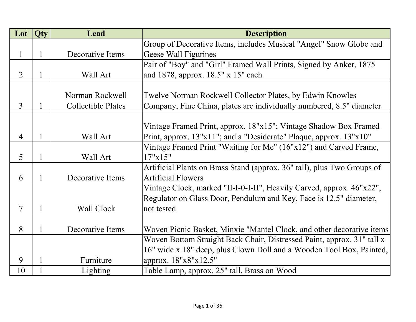| Lot            | <b>Qty</b>   | Lead                      | <b>Description</b>                                                      |
|----------------|--------------|---------------------------|-------------------------------------------------------------------------|
|                |              |                           | Group of Decorative Items, includes Musical "Angel" Snow Globe and      |
| 1              | $\mathbf{1}$ | Decorative Items          | Geese Wall Figurines                                                    |
|                |              |                           | Pair of "Boy" and "Girl" Framed Wall Prints, Signed by Anker, 1875      |
| 2              | $\mathbf{1}$ | Wall Art                  | and 1878, approx. 18.5" x 15" each                                      |
|                |              |                           |                                                                         |
|                |              | Norman Rockwell           | Twelve Norman Rockwell Collector Plates, by Edwin Knowles               |
| 3              | $\mathbf{1}$ | <b>Collectible Plates</b> | Company, Fine China, plates are individually numbered, 8.5" diameter    |
|                |              |                           |                                                                         |
|                |              |                           | Vintage Framed Print, approx. 18"x15"; Vintage Shadow Box Framed        |
| $\overline{4}$ | $\mathbf{1}$ | Wall Art                  | Print, approx. $13"x11"$ ; and a "Desiderate" Plaque, approx. $13"x10"$ |
|                |              |                           | Vintage Framed Print "Waiting for Me" (16"x12") and Carved Frame,       |
| 5              | $\mathbf{1}$ | Wall Art                  | 17"x15"                                                                 |
|                |              |                           | Artificial Plants on Brass Stand (approx. 36" tall), plus Two Groups of |
| 6              | $\mathbf{1}$ | Decorative Items          | <b>Artificial Flowers</b>                                               |
|                |              |                           | Vintage Clock, marked "II-I-0-I-II", Heavily Carved, approx. 46"x22",   |
|                |              |                           | Regulator on Glass Door, Pendulum and Key, Face is 12.5" diameter,      |
| 7              | $\mathbf{1}$ | Wall Clock                | not tested                                                              |
|                |              |                           |                                                                         |
| 8              | $\mathbf{1}$ | Decorative Items          | Woven Picnic Basket, Minxie "Mantel Clock, and other decorative items   |
|                |              |                           | Woven Bottom Straight Back Chair, Distressed Paint, approx. 31" tall x  |
|                |              |                           | 16" wide x 18" deep, plus Clown Doll and a Wooden Tool Box, Painted,    |
| 9              | $\mathbf{1}$ | Furniture                 | approx. 18"x8"x12.5"                                                    |
| 10             | $\mathbf{1}$ | Lighting                  | Table Lamp, approx. 25" tall, Brass on Wood                             |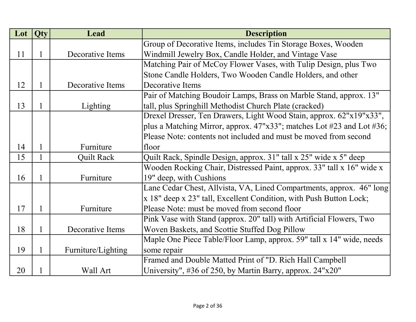| Lot | Qty          | Lead               | <b>Description</b>                                                    |
|-----|--------------|--------------------|-----------------------------------------------------------------------|
|     |              |                    | Group of Decorative Items, includes Tin Storage Boxes, Wooden         |
| 11  | 1            | Decorative Items   | Windmill Jewelry Box, Candle Holder, and Vintage Vase                 |
|     |              |                    | Matching Pair of McCoy Flower Vases, with Tulip Design, plus Two      |
|     |              |                    | Stone Candle Holders, Two Wooden Candle Holders, and other            |
| 12  | 1            | Decorative Items   | Decorative Items                                                      |
|     |              |                    | Pair of Matching Boudoir Lamps, Brass on Marble Stand, approx. 13"    |
| 13  | 1            | Lighting           | tall, plus Springhill Methodist Church Plate (cracked)                |
|     |              |                    | Drexel Dresser, Ten Drawers, Light Wood Stain, approx. 62"x19"x33",   |
|     |              |                    | plus a Matching Mirror, approx. 47"x33"; matches Lot #23 and Lot #36; |
|     |              |                    | Please Note: contents not included and must be moved from second      |
| 14  | $\mathbf{1}$ | Furniture          | floor                                                                 |
| 15  |              | <b>Quilt Rack</b>  | Quilt Rack, Spindle Design, approx. 31" tall x 25" wide x 5" deep     |
|     |              |                    | Wooden Rocking Chair, Distressed Paint, approx. 33" tall x 16" wide x |
| 16  | 1            | Furniture          | 19" deep, with Cushions                                               |
|     |              |                    | Lane Cedar Chest, Allvista, VA, Lined Compartments, approx. 46" long  |
|     |              |                    | x 18" deep x 23" tall, Excellent Condition, with Push Button Lock;    |
| 17  | 1            | Furniture          | Please Note: must be moved from second floor                          |
|     |              |                    | Pink Vase with Stand (approx. 20" tall) with Artificial Flowers, Two  |
| 18  | 1            | Decorative Items   | Woven Baskets, and Scottie Stuffed Dog Pillow                         |
|     |              |                    | Maple One Piece Table/Floor Lamp, approx. 59" tall x 14" wide, needs  |
| 19  | 1            | Furniture/Lighting | some repair                                                           |
|     |              |                    | Framed and Double Matted Print of "D. Rich Hall Campbell              |
| 20  |              | Wall Art           | University", #36 of 250, by Martin Barry, approx. $24"x20"$           |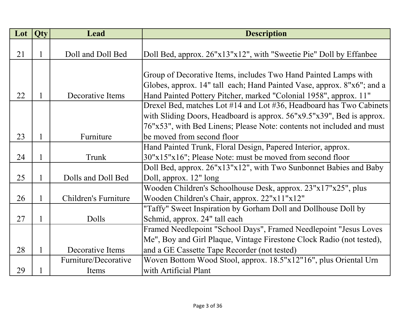| Lot | Qty          | <b>Lead</b>                 | <b>Description</b>                                                     |
|-----|--------------|-----------------------------|------------------------------------------------------------------------|
|     |              |                             |                                                                        |
| 21  | 1            | Doll and Doll Bed           | Doll Bed, approx. 26"x13"x12", with "Sweetie Pie" Doll by Effanbee     |
|     |              |                             |                                                                        |
|     |              |                             | Group of Decorative Items, includes Two Hand Painted Lamps with        |
|     |              |                             | Globes, approx. 14" tall each; Hand Painted Vase, approx. 8"x6"; and a |
| 22  | $\mathbf{1}$ | Decorative Items            | Hand Painted Pottery Pitcher, marked "Colonial 1958", approx. 11"      |
|     |              |                             | Drexel Bed, matches Lot #14 and Lot #36, Headboard has Two Cabinets    |
|     |              |                             | with Sliding Doors, Headboard is approx. 56"x9.5"x39", Bed is approx.  |
|     |              |                             | 76"x53", with Bed Linens; Please Note: contents not included and must  |
| 23  | 1            | Furniture                   | be moved from second floor                                             |
|     |              |                             | Hand Painted Trunk, Floral Design, Papered Interior, approx.           |
| 24  | 1            | Trunk                       | 30"x15"x16"; Please Note: must be moved from second floor              |
|     |              |                             | Doll Bed, approx. 26"x13"x12", with Two Sunbonnet Babies and Baby      |
| 25  | 1            | Dolls and Doll Bed          | Doll, approx. 12" long                                                 |
|     |              |                             | Wooden Children's Schoolhouse Desk, approx. 23"x17"x25", plus          |
| 26  | 1            | <b>Children's Furniture</b> | Wooden Children's Chair, approx. 22"x11"x12"                           |
|     |              |                             | "Taffy" Sweet Inspiration by Gorham Doll and Dollhouse Doll by         |
| 27  | $\mathbf{1}$ | Dolls                       | Schmid, approx. 24" tall each                                          |
|     |              |                             | Framed Needlepoint "School Days", Framed Needlepoint "Jesus Loves      |
|     |              |                             | Me", Boy and Girl Plaque, Vintage Firestone Clock Radio (not tested),  |
| 28  | 1            | Decorative Items            | and a GE Cassette Tape Recorder (not tested)                           |
|     |              | Furniture/Decorative        | Woven Bottom Wood Stool, approx. 18.5"x12"16", plus Oriental Urn       |
| 29  |              | Items                       | with Artificial Plant                                                  |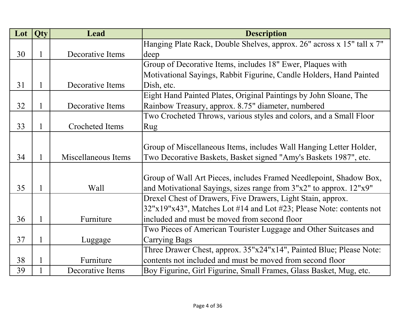| Lot | <b>Qty</b>   | Lead                   | <b>Description</b>                                                     |
|-----|--------------|------------------------|------------------------------------------------------------------------|
|     |              |                        | Hanging Plate Rack, Double Shelves, approx. 26" across x 15" tall x 7" |
| 30  | $\mathbf{1}$ | Decorative Items       | deep                                                                   |
|     |              |                        | Group of Decorative Items, includes 18" Ewer, Plaques with             |
|     |              |                        | Motivational Sayings, Rabbit Figurine, Candle Holders, Hand Painted    |
| 31  | 1            | Decorative Items       | Dish, etc.                                                             |
|     |              |                        | Eight Hand Painted Plates, Original Paintings by John Sloane, The      |
| 32  | $\mathbf{1}$ | Decorative Items       | Rainbow Treasury, approx. 8.75" diameter, numbered                     |
|     |              |                        | Two Crocheted Throws, various styles and colors, and a Small Floor     |
| 33  |              | <b>Crocheted Items</b> | Rug                                                                    |
|     |              |                        |                                                                        |
|     |              |                        | Group of Miscellaneous Items, includes Wall Hanging Letter Holder,     |
| 34  | 1            | Miscellaneous Items    | Two Decorative Baskets, Basket signed "Amy's Baskets 1987", etc.       |
|     |              |                        |                                                                        |
|     |              |                        | Group of Wall Art Pieces, includes Framed Needlepoint, Shadow Box,     |
| 35  | $\mathbf{1}$ | Wall                   | and Motivational Sayings, sizes range from 3"x2" to approx. 12"x9"     |
|     |              |                        | Drexel Chest of Drawers, Five Drawers, Light Stain, approx.            |
|     |              |                        | 32"x19"x43", Matches Lot #14 and Lot #23; Please Note: contents not    |
| 36  | $\mathbf{1}$ | Furniture              | included and must be moved from second floor                           |
|     |              |                        | Two Pieces of American Tourister Luggage and Other Suitcases and       |
| 37  | $\mathbf{1}$ | Luggage                | <b>Carrying Bags</b>                                                   |
|     |              |                        | Three Drawer Chest, approx. 35"x24"x14", Painted Blue; Please Note:    |
| 38  |              | Furniture              | contents not included and must be moved from second floor              |
| 39  |              | Decorative Items       | Boy Figurine, Girl Figurine, Small Frames, Glass Basket, Mug, etc.     |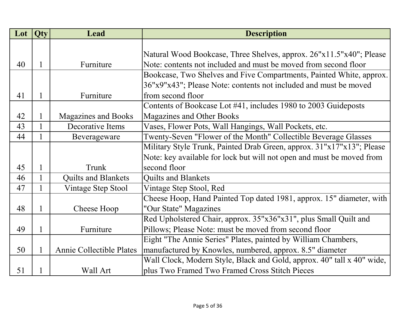| Lot | Qty          | Lead                            | <b>Description</b>                                                     |
|-----|--------------|---------------------------------|------------------------------------------------------------------------|
|     |              |                                 |                                                                        |
|     |              |                                 | Natural Wood Bookcase, Three Shelves, approx. 26"x11.5"x40"; Please    |
| 40  |              | Furniture                       | Note: contents not included and must be moved from second floor        |
|     |              |                                 | Bookcase, Two Shelves and Five Compartments, Painted White, approx.    |
|     |              |                                 | 36"x9"x43"; Please Note: contents not included and must be moved       |
| 41  |              | Furniture                       | from second floor                                                      |
|     |              |                                 | Contents of Bookcase Lot #41, includes 1980 to 2003 Guideposts         |
| 42  |              | <b>Magazines and Books</b>      | <b>Magazines and Other Books</b>                                       |
| 43  | $\mathbf{1}$ | Decorative Items                | Vases, Flower Pots, Wall Hangings, Wall Pockets, etc.                  |
| 44  |              | Beverageware                    | Twenty-Seven "Flower of the Month" Collectible Beverage Glasses        |
|     |              |                                 | Military Style Trunk, Painted Drab Green, approx. 31"x17"x13"; Please  |
|     |              |                                 | Note: key available for lock but will not open and must be moved from  |
| 45  |              | Trunk                           | second floor                                                           |
| 46  |              | <b>Quilts and Blankets</b>      | <b>Quilts and Blankets</b>                                             |
| 47  |              | Vintage Step Stool              | Vintage Step Stool, Red                                                |
|     |              |                                 | Cheese Hoop, Hand Painted Top dated 1981, approx. 15" diameter, with   |
| 48  |              | Cheese Hoop                     | "Our State" Magazines                                                  |
|     |              |                                 | Red Upholstered Chair, approx. 35"x36"x31", plus Small Quilt and       |
| 49  |              | Furniture                       | Pillows; Please Note: must be moved from second floor                  |
|     |              |                                 | Eight "The Annie Series" Plates, painted by William Chambers,          |
| 50  |              | <b>Annie Collectible Plates</b> | manufactured by Knowles, numbered, approx. 8.5" diameter               |
|     |              |                                 | Wall Clock, Modern Style, Black and Gold, approx. 40" tall x 40" wide, |
| 51  |              | Wall Art                        | plus Two Framed Two Framed Cross Stitch Pieces                         |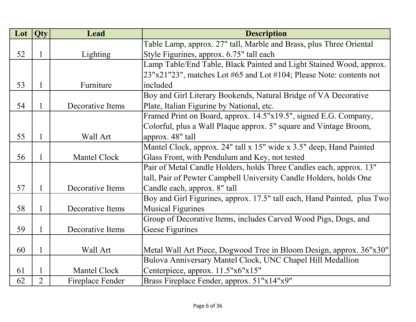| Lot | Qty            | Lead             | <b>Description</b>                                                      |
|-----|----------------|------------------|-------------------------------------------------------------------------|
|     |                |                  | Table Lamp, approx. 27" tall, Marble and Brass, plus Three Oriental     |
| 52  | 1              | Lighting         | Style Figurines, approx. 6.75" tall each                                |
|     |                |                  | Lamp Table/End Table, Black Painted and Light Stained Wood, approx.     |
|     |                |                  | 23"x21"23", matches Lot #65 and Lot #104; Please Note: contents not     |
| 53  | $\mathbf{1}$   | Furniture        | included                                                                |
|     |                |                  | Boy and Girl Literary Bookends, Natural Bridge of VA Decorative         |
| 54  | 1              | Decorative Items | Plate, Italian Figurine by National, etc.                               |
|     |                |                  | Framed Print on Board, approx. 14.5"x19.5", signed E.G. Company,        |
|     |                |                  | Colorful, plus a Wall Plaque approx. 5" square and Vintage Broom,       |
| 55  | 1              | Wall Art         | approx. 48" tall                                                        |
|     |                |                  | Mantel Clock, approx. 24" tall x 15" wide x 3.5" deep, Hand Painted     |
| 56  | 1              | Mantel Clock     | Glass Front, with Pendulum and Key, not tested                          |
|     |                |                  | Pair of Metal Candle Holders, holds Three Candles each, approx. 13"     |
|     |                |                  | tall, Pair of Pewter Campbell University Candle Holders, holds One      |
| 57  | $\mathbf{1}$   | Decorative Items | Candle each, approx. 8" tall                                            |
|     |                |                  | Boy and Girl Figurines, approx. 17.5" tall each, Hand Painted, plus Two |
| 58  | $\mathbf{1}$   | Decorative Items | <b>Musical Figurines</b>                                                |
|     |                |                  | Group of Decorative Items, includes Carved Wood Pigs, Dogs, and         |
| 59  | $\mathbf{1}$   | Decorative Items | Geese Figurines                                                         |
|     |                |                  |                                                                         |
| 60  | $\mathbf{1}$   | Wall Art         | Metal Wall Art Piece, Dogwood Tree in Bloom Design, approx. 36"x30"     |
|     |                |                  | Bulova Anniversary Mantel Clock, UNC Chapel Hill Medallion              |
| 61  | $\mathbf{1}$   | Mantel Clock     | Centerpiece, approx. 11.5"x6"x15"                                       |
| 62  | $\overline{2}$ | Fireplace Fender | Brass Fireplace Fender, approx. 51"x14"x9"                              |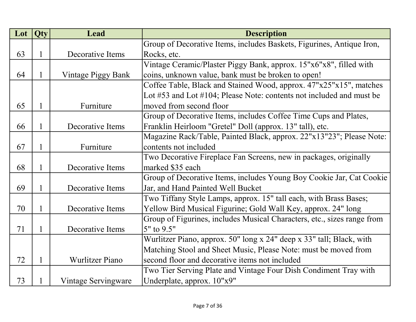| Lot | Qty | Lead                   | <b>Description</b>                                                          |
|-----|-----|------------------------|-----------------------------------------------------------------------------|
|     |     |                        | Group of Decorative Items, includes Baskets, Figurines, Antique Iron,       |
| 63  | 1   | Decorative Items       | Rocks, etc.                                                                 |
|     |     |                        | Vintage Ceramic/Plaster Piggy Bank, approx. 15"x6"x8", filled with          |
| 64  | 1   | Vintage Piggy Bank     | coins, unknown value, bank must be broken to open!                          |
|     |     |                        | Coffee Table, Black and Stained Wood, approx. 47"x25"x15", matches          |
|     |     |                        | Lot $\#53$ and Lot $\#104$ ; Please Note: contents not included and must be |
| 65  | 1   | Furniture              | moved from second floor                                                     |
|     |     |                        | Group of Decorative Items, includes Coffee Time Cups and Plates,            |
| 66  | 1   | Decorative Items       | Franklin Heirloom "Gretel" Doll (approx. 13" tall), etc.                    |
|     |     |                        | Magazine Rack/Table, Painted Black, approx. 22"x13"23"; Please Note:        |
| 67  | 1   | Furniture              | contents not included                                                       |
|     |     |                        | Two Decorative Fireplace Fan Screens, new in packages, originally           |
| 68  | 1   | Decorative Items       | marked \$35 each                                                            |
|     |     |                        | Group of Decorative Items, includes Young Boy Cookie Jar, Cat Cookie        |
| 69  | 1   | Decorative Items       | Jar, and Hand Painted Well Bucket                                           |
|     |     |                        | Two Tiffany Style Lamps, approx. 15" tall each, with Brass Bases;           |
| 70  | 1   | Decorative Items       | Yellow Bird Musical Figurine; Gold Wall Key, approx. 24" long               |
|     |     |                        | Group of Figurines, includes Musical Characters, etc., sizes range from     |
| 71  | 1   | Decorative Items       | 5" to 9.5"                                                                  |
|     |     |                        | Wurlitzer Piano, approx. 50" long x 24" deep x 33" tall; Black, with        |
|     |     |                        | Matching Stool and Sheet Music, Please Note: must be moved from             |
| 72  |     | <b>Wurlitzer Piano</b> | second floor and decorative items not included                              |
|     |     |                        | Two Tier Serving Plate and Vintage Four Dish Condiment Tray with            |
| 73  |     | Vintage Servingware    | Underplate, approx. 10"x9"                                                  |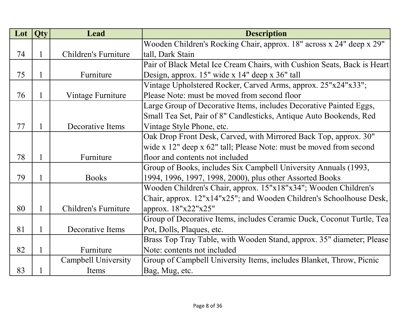| Lot | Qty          | Lead                 | <b>Description</b>                                                      |
|-----|--------------|----------------------|-------------------------------------------------------------------------|
|     |              |                      | Wooden Children's Rocking Chair, approx. 18" across x 24" deep x 29"    |
| 74  |              | Children's Furniture | tall, Dark Stain                                                        |
|     |              |                      | Pair of Black Metal Ice Cream Chairs, with Cushion Seats, Back is Heart |
| 75  | $\mathbf{1}$ | Furniture            | Design, approx. 15" wide x 14" deep x 36" tall                          |
|     |              |                      | Vintage Upholstered Rocker, Carved Arms, approx. 25"x24"x33";           |
| 76  | 1            | Vintage Furniture    | Please Note: must be moved from second floor                            |
|     |              |                      | Large Group of Decorative Items, includes Decorative Painted Eggs,      |
|     |              |                      | Small Tea Set, Pair of 8" Candlesticks, Antique Auto Bookends, Red      |
| 77  |              | Decorative Items     | Vintage Style Phone, etc.                                               |
|     |              |                      | Oak Drop Front Desk, Carved, with Mirrored Back Top, approx. 30"        |
|     |              |                      | wide x 12" deep x 62" tall; Please Note: must be moved from second      |
| 78  |              | Furniture            | floor and contents not included                                         |
|     |              |                      | Group of Books, includes Six Campbell University Annuals (1993,         |
| 79  |              | <b>Books</b>         | 1994, 1996, 1997, 1998, 2000), plus other Assorted Books                |
|     |              |                      | Wooden Children's Chair, approx. 15"x18"x34"; Wooden Children's         |
|     |              |                      | Chair, approx. 12"x14"x25"; and Wooden Children's Schoolhouse Desk,     |
| 80  | 1            | Children's Furniture | approx. $18"x22"x25"$                                                   |
|     |              |                      | Group of Decorative Items, includes Ceramic Duck, Coconut Turtle, Tea   |
| 81  | 1            | Decorative Items     | Pot, Dolls, Plaques, etc.                                               |
|     |              |                      | Brass Top Tray Table, with Wooden Stand, approx. 35" diameter; Please   |
| 82  |              | Furniture            | Note: contents not included                                             |
|     |              | Campbell University  | Group of Campbell University Items, includes Blanket, Throw, Picnic     |
| 83  |              | Items                | Bag, Mug, etc.                                                          |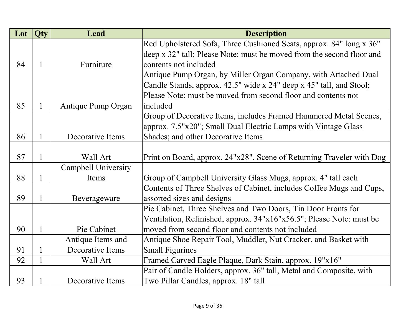| Lot | Qty          | <b>Lead</b>                | <b>Description</b>                                                    |
|-----|--------------|----------------------------|-----------------------------------------------------------------------|
|     |              |                            | Red Upholstered Sofa, Three Cushioned Seats, approx. 84" long x 36"   |
|     |              |                            | deep x 32" tall; Please Note: must be moved from the second floor and |
| 84  | 1            | Furniture                  | contents not included                                                 |
|     |              |                            | Antique Pump Organ, by Miller Organ Company, with Attached Dual       |
|     |              |                            | Candle Stands, approx. 42.5" wide x 24" deep x 45" tall, and Stool;   |
|     |              |                            | Please Note: must be moved from second floor and contents not         |
| 85  | $\mathbf{1}$ | Antique Pump Organ         | included                                                              |
|     |              |                            | Group of Decorative Items, includes Framed Hammered Metal Scenes,     |
|     |              |                            | approx. 7.5"x20"; Small Dual Electric Lamps with Vintage Glass        |
| 86  |              | Decorative Items           | Shades; and other Decorative Items                                    |
|     |              |                            |                                                                       |
| 87  | 1            | Wall Art                   | Print on Board, approx. 24"x28", Scene of Returning Traveler with Dog |
|     |              | <b>Campbell University</b> |                                                                       |
| 88  |              | Items                      | Group of Campbell University Glass Mugs, approx. 4" tall each         |
|     |              |                            | Contents of Three Shelves of Cabinet, includes Coffee Mugs and Cups,  |
| 89  | 1            | Beverageware               | assorted sizes and designs                                            |
|     |              |                            | Pie Cabinet, Three Shelves and Two Doors, Tin Door Fronts for         |
|     |              |                            | Ventilation, Refinished, approx. 34"x16"x56.5"; Please Note: must be  |
| 90  | 1            | Pie Cabinet                | moved from second floor and contents not included                     |
|     |              | Antique Items and          | Antique Shoe Repair Tool, Muddler, Nut Cracker, and Basket with       |
| 91  | $\mathbf{1}$ | Decorative Items           | <b>Small Figurines</b>                                                |
| 92  |              | Wall Art                   | Framed Carved Eagle Plaque, Dark Stain, approx. 19"x16"               |
|     |              |                            | Pair of Candle Holders, approx. 36" tall, Metal and Composite, with   |
| 93  |              | Decorative Items           | Two Pillar Candles, approx. 18" tall                                  |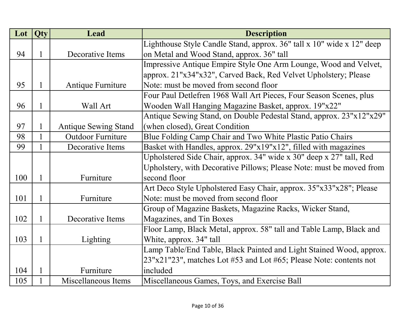| Lot | Qty          | <b>Lead</b>                 | <b>Description</b>                                                    |
|-----|--------------|-----------------------------|-----------------------------------------------------------------------|
|     |              |                             | Lighthouse Style Candle Stand, approx. 36" tall x 10" wide x 12" deep |
| 94  | $\mathbf{1}$ | Decorative Items            | on Metal and Wood Stand, approx. 36" tall                             |
|     |              |                             | Impressive Antique Empire Style One Arm Lounge, Wood and Velvet,      |
|     |              |                             | approx. 21"x34"x32", Carved Back, Red Velvet Upholstery; Please       |
| 95  | $\mathbf{1}$ | Antique Furniture           | Note: must be moved from second floor                                 |
|     |              |                             | Four Paul Detlefren 1968 Wall Art Pieces, Four Season Scenes, plus    |
| 96  | 1            | Wall Art                    | Wooden Wall Hanging Magazine Basket, approx. 19"x22"                  |
|     |              |                             | Antique Sewing Stand, on Double Pedestal Stand, approx. 23"x12"x29"   |
| 97  | $\mathbf{1}$ | <b>Antique Sewing Stand</b> | (when closed), Great Condition                                        |
| 98  | $\mathbf{1}$ | <b>Outdoor Furniture</b>    | Blue Folding Camp Chair and Two White Plastic Patio Chairs            |
| 99  | 1            | Decorative Items            | Basket with Handles, approx. 29"x19"x12", filled with magazines       |
|     |              |                             | Upholstered Side Chair, approx. 34" wide x 30" deep x 27" tall, Red   |
|     |              |                             | Upholstery, with Decorative Pillows; Please Note: must be moved from  |
| 100 | 1            | Furniture                   | second floor                                                          |
|     |              |                             | Art Deco Style Upholstered Easy Chair, approx. 35"x33"x28"; Please    |
| 101 | $\mathbf{1}$ | Furniture                   | Note: must be moved from second floor                                 |
|     |              |                             | Group of Magazine Baskets, Magazine Racks, Wicker Stand,              |
| 102 | $\mathbf{1}$ | Decorative Items            | Magazines, and Tin Boxes                                              |
|     |              |                             | Floor Lamp, Black Metal, approx. 58" tall and Table Lamp, Black and   |
| 103 | 1            | Lighting                    | White, approx. 34" tall                                               |
|     |              |                             | Lamp Table/End Table, Black Painted and Light Stained Wood, approx.   |
|     |              |                             | 23"x21"23", matches Lot #53 and Lot #65; Please Note: contents not    |
| 104 |              | Furniture                   | included                                                              |
| 105 |              | Miscellaneous Items         | Miscellaneous Games, Toys, and Exercise Ball                          |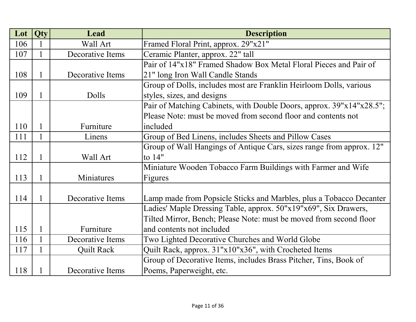| Lot | Qty          | <b>Lead</b>       | <b>Description</b>                                                   |
|-----|--------------|-------------------|----------------------------------------------------------------------|
| 106 | 1            | Wall Art          | Framed Floral Print, approx. 29"x21"                                 |
| 107 | $\mathbf{1}$ | Decorative Items  | Ceramic Planter, approx. 22" tall                                    |
|     |              |                   | Pair of 14"x18" Framed Shadow Box Metal Floral Pieces and Pair of    |
| 108 | $\mathbf{1}$ | Decorative Items  | 21" long Iron Wall Candle Stands                                     |
|     |              |                   | Group of Dolls, includes most are Franklin Heirloom Dolls, various   |
| 109 | $\mathbf{1}$ | Dolls             | styles, sizes, and designs                                           |
|     |              |                   | Pair of Matching Cabinets, with Double Doors, approx. 39"x14"x28.5"; |
|     |              |                   | Please Note: must be moved from second floor and contents not        |
| 110 | $\mathbf{1}$ | Furniture         | included                                                             |
| 111 | $\mathbf{1}$ | Linens            | Group of Bed Linens, includes Sheets and Pillow Cases                |
|     |              |                   | Group of Wall Hangings of Antique Cars, sizes range from approx. 12" |
| 112 | 1            | Wall Art          | to 14"                                                               |
|     |              |                   | Miniature Wooden Tobacco Farm Buildings with Farmer and Wife         |
| 113 | 1            | Miniatures        | Figures                                                              |
|     |              |                   |                                                                      |
| 114 | 1            | Decorative Items  | Lamp made from Popsicle Sticks and Marbles, plus a Tobacco Decanter  |
|     |              |                   | Ladies' Maple Dressing Table, approx. 50"x19"x69", Six Drawers,      |
|     |              |                   | Tilted Mirror, Bench; Please Note: must be moved from second floor   |
| 115 | $\mathbf{1}$ | Furniture         | and contents not included                                            |
| 116 | $\mathbf{1}$ | Decorative Items  | Two Lighted Decorative Churches and World Globe                      |
| 117 | $\mathbf{1}$ | <b>Quilt Rack</b> | Quilt Rack, approx. 31"x10"x36", with Crocheted Items                |
|     |              |                   | Group of Decorative Items, includes Brass Pitcher, Tins, Book of     |
| 118 | 1            | Decorative Items  | Poems, Paperweight, etc.                                             |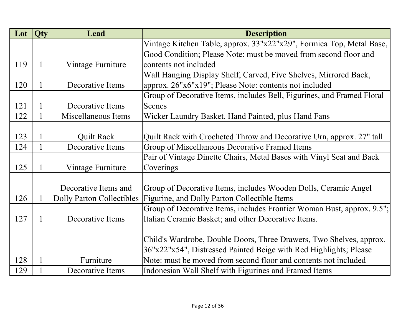| Lot | <b>Qty</b>   | <b>Lead</b>                      | <b>Description</b>                                                     |
|-----|--------------|----------------------------------|------------------------------------------------------------------------|
|     |              |                                  | Vintage Kitchen Table, approx. 33"x22"x29", Formica Top, Metal Base,   |
|     |              |                                  | Good Condition; Please Note: must be moved from second floor and       |
| 119 | $\mathbf 1$  | Vintage Furniture                | contents not included                                                  |
|     |              |                                  | Wall Hanging Display Shelf, Carved, Five Shelves, Mirrored Back,       |
| 120 | 1            | Decorative Items                 | approx. 26"x6"x19"; Please Note: contents not included                 |
|     |              |                                  | Group of Decorative Items, includes Bell, Figurines, and Framed Floral |
| 121 | 1            | Decorative Items                 | <b>Scenes</b>                                                          |
| 122 | 1            | Miscellaneous Items              | Wicker Laundry Basket, Hand Painted, plus Hand Fans                    |
|     |              |                                  |                                                                        |
| 123 | $\mathbf 1$  | <b>Quilt Rack</b>                | Quilt Rack with Crocheted Throw and Decorative Urn, approx. 27" tall   |
| 124 | 1            | Decorative Items                 | Group of Miscellaneous Decorative Framed Items                         |
|     |              |                                  | Pair of Vintage Dinette Chairs, Metal Bases with Vinyl Seat and Back   |
| 125 | $\mathbf{1}$ | Vintage Furniture                | Coverings                                                              |
|     |              |                                  |                                                                        |
|     |              | Decorative Items and             | Group of Decorative Items, includes Wooden Dolls, Ceramic Angel        |
| 126 | 1            | <b>Dolly Parton Collectibles</b> | Figurine, and Dolly Parton Collectible Items                           |
|     |              |                                  | Group of Decorative Items, includes Frontier Woman Bust, approx. 9.5"; |
| 127 | 1            | Decorative Items                 | Italian Ceramic Basket; and other Decorative Items.                    |
|     |              |                                  |                                                                        |
|     |              |                                  | Child's Wardrobe, Double Doors, Three Drawers, Two Shelves, approx.    |
|     |              |                                  | 36"x22"x54", Distressed Painted Beige with Red Highlights; Please      |
| 128 | 1            | Furniture                        | Note: must be moved from second floor and contents not included        |
| 129 |              | Decorative Items                 | Indonesian Wall Shelf with Figurines and Framed Items                  |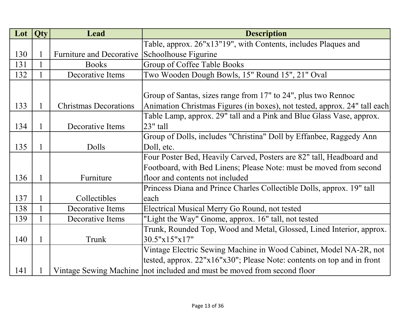| Lot | Qty          | Lead                         | <b>Description</b>                                                        |
|-----|--------------|------------------------------|---------------------------------------------------------------------------|
|     |              |                              | Table, approx. 26"x13"19", with Contents, includes Plaques and            |
| 130 | 1            | Furniture and Decorative     | Schoolhouse Figurine                                                      |
| 131 |              | <b>Books</b>                 | Group of Coffee Table Books                                               |
| 132 |              | Decorative Items             | Two Wooden Dough Bowls, 15" Round 15", 21" Oval                           |
|     |              |                              |                                                                           |
|     |              |                              | Group of Santas, sizes range from 17" to 24", plus two Rennoc             |
| 133 | $\mathbf{1}$ | <b>Christmas Decorations</b> | Animation Christmas Figures (in boxes), not tested, approx. 24" tall each |
|     |              |                              | Table Lamp, approx. 29" tall and a Pink and Blue Glass Vase, approx.      |
| 134 | $\mathbf{1}$ | Decorative Items             | $23"$ tall                                                                |
|     |              |                              | Group of Dolls, includes "Christina" Doll by Effanbee, Raggedy Ann        |
| 135 | $\mathbf{1}$ | Dolls                        | Doll, etc.                                                                |
|     |              |                              | Four Poster Bed, Heavily Carved, Posters are 82" tall, Headboard and      |
|     |              |                              | Footboard, with Bed Linens; Please Note: must be moved from second        |
| 136 | $\mathbf{1}$ | Furniture                    | floor and contents not included                                           |
|     |              |                              | Princess Diana and Prince Charles Collectible Dolls, approx. 19" tall     |
| 137 | $\mathbf{1}$ | Collectibles                 | each                                                                      |
| 138 | $\mathbf{1}$ | Decorative Items             | Electrical Musical Merry Go Round, not tested                             |
| 139 | $\mathbf{1}$ | Decorative Items             | "Light the Way" Gnome, approx. 16" tall, not tested                       |
|     |              |                              | Trunk, Rounded Top, Wood and Metal, Glossed, Lined Interior, approx.      |
| 140 | $\mathbf{1}$ | Trunk                        | 30.5"x15"x17"                                                             |
|     |              |                              | Vintage Electric Sewing Machine in Wood Cabinet, Model NA-2R, not         |
|     |              |                              | tested, approx. 22"x16"x30"; Please Note: contents on top and in front    |
| 141 |              |                              | Vintage Sewing Machine not included and must be moved from second floor   |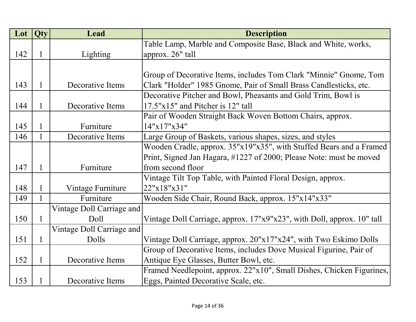| Lot | Qty          | <b>Lead</b>               | <b>Description</b>                                                     |
|-----|--------------|---------------------------|------------------------------------------------------------------------|
|     |              |                           | Table Lamp, Marble and Composite Base, Black and White, works,         |
| 142 | 1            | Lighting                  | approx. 26" tall                                                       |
|     |              |                           |                                                                        |
|     |              |                           | Group of Decorative Items, includes Tom Clark "Minnie" Gnome, Tom      |
| 143 | 1            | Decorative Items          | Clark "Holder" 1985 Gnome, Pair of Small Brass Candlesticks, etc.      |
|     |              |                           | Decorative Pitcher and Bowl, Pheasants and Gold Trim, Bowl is          |
| 144 | 1            | Decorative Items          | 17.5"x15" and Pitcher is 12" tall                                      |
|     |              |                           | Pair of Wooden Straight Back Woven Bottom Chairs, approx.              |
| 145 | $\mathbf{1}$ | Furniture                 | 14"x17"x34"                                                            |
| 146 | 1            | Decorative Items          | Large Group of Baskets, various shapes, sizes, and styles              |
|     |              |                           | Wooden Cradle, approx. 35"x19"x35", with Stuffed Bears and a Framed    |
|     |              |                           | Print, Signed Jan Hagara, #1227 of 2000; Please Note: must be moved    |
| 147 | 1            | Furniture                 | from second floor                                                      |
|     |              |                           | Vintage Tilt Top Table, with Painted Floral Design, approx.            |
| 148 | 1            | Vintage Furniture         | 22"x18"x31"                                                            |
| 149 | 1            | Furniture                 | Wooden Side Chair, Round Back, approx. 15"x14"x33"                     |
|     |              | Vintage Doll Carriage and |                                                                        |
| 150 | $\mathbf{1}$ | Doll                      | Vintage Doll Carriage, approx. 17"x9"x23", with Doll, approx. 10" tall |
|     |              | Vintage Doll Carriage and |                                                                        |
| 151 | $\mathbf{1}$ | Dolls                     | Vintage Doll Carriage, approx. 20"x17"x24", with Two Eskimo Dolls      |
|     |              |                           | Group of Decorative Items, includes Dove Musical Figurine, Pair of     |
| 152 | 1            | Decorative Items          | Antique Eye Glasses, Butter Bowl, etc.                                 |
|     |              |                           | Framed Needlepoint, approx. 22"x10", Small Dishes, Chicken Figurines,  |
| 153 | 1            | Decorative Items          | Eggs, Painted Decorative Scale, etc.                                   |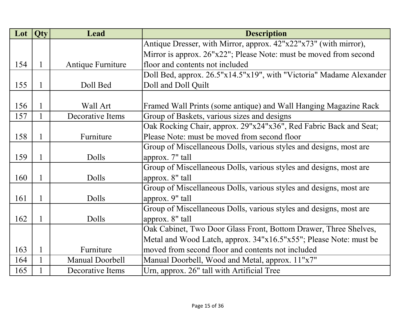| Lot | <b>Qty</b>   | <b>Lead</b>       | <b>Description</b>                                                  |
|-----|--------------|-------------------|---------------------------------------------------------------------|
|     |              |                   | Antique Dresser, with Mirror, approx. 42"x22"x73" (with mirror),    |
|     |              |                   | Mirror is approx. 26"x22"; Please Note: must be moved from second   |
| 154 | $\mathbf{1}$ | Antique Furniture | floor and contents not included                                     |
|     |              |                   | Doll Bed, approx. 26.5"x14.5"x19", with "Victoria" Madame Alexander |
| 155 | $\mathbf{1}$ | Doll Bed          | Doll and Doll Quilt                                                 |
|     |              |                   |                                                                     |
| 156 | 1            | Wall Art          | Framed Wall Prints (some antique) and Wall Hanging Magazine Rack    |
| 157 | 1            | Decorative Items  | Group of Baskets, various sizes and designs                         |
|     |              |                   | Oak Rocking Chair, approx. 29"x24"x36", Red Fabric Back and Seat;   |
| 158 | $\mathbf 1$  | Furniture         | Please Note: must be moved from second floor                        |
|     |              |                   | Group of Miscellaneous Dolls, various styles and designs, most are  |
| 159 | 1            | Dolls             | approx. 7" tall                                                     |
|     |              |                   | Group of Miscellaneous Dolls, various styles and designs, most are  |
| 160 | 1            | Dolls             | approx. 8" tall                                                     |
|     |              |                   | Group of Miscellaneous Dolls, various styles and designs, most are  |
| 161 | 1            | Dolls             | approx. 9" tall                                                     |
|     |              |                   | Group of Miscellaneous Dolls, various styles and designs, most are  |
| 162 | $\mathbf{1}$ | Dolls             | approx. 8" tall                                                     |
|     |              |                   | Oak Cabinet, Two Door Glass Front, Bottom Drawer, Three Shelves,    |
|     |              |                   | Metal and Wood Latch, approx. 34"x16.5"x55"; Please Note: must be   |
| 163 | $\mathbf{1}$ | Furniture         | moved from second floor and contents not included                   |
| 164 |              | Manual Doorbell   | Manual Doorbell, Wood and Metal, approx. 11"x7"                     |
| 165 |              | Decorative Items  | Urn, approx. 26" tall with Artificial Tree                          |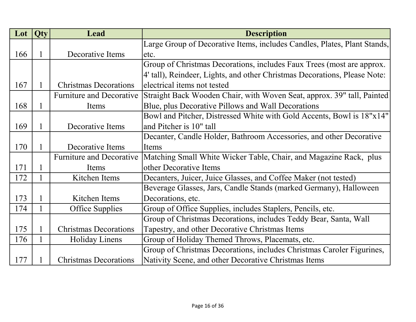| Lot | <b>Qty</b>   | Lead                            | <b>Description</b>                                                        |
|-----|--------------|---------------------------------|---------------------------------------------------------------------------|
|     |              |                                 | Large Group of Decorative Items, includes Candles, Plates, Plant Stands,  |
| 166 | 1            | Decorative Items                | etc.                                                                      |
|     |              |                                 | Group of Christmas Decorations, includes Faux Trees (most are approx.     |
|     |              |                                 | 4' tall), Reindeer, Lights, and other Christmas Decorations, Please Note: |
| 167 | 1            | <b>Christmas Decorations</b>    | electrical items not tested                                               |
|     |              | <b>Furniture and Decorative</b> | Straight Back Wooden Chair, with Woven Seat, approx. 39" tall, Painted    |
| 168 | 1            | Items                           | Blue, plus Decorative Pillows and Wall Decorations                        |
|     |              |                                 | Bowl and Pitcher, Distressed White with Gold Accents, Bowl is 18"x14"     |
| 169 | 1            | Decorative Items                | and Pitcher is 10" tall                                                   |
|     |              |                                 | Decanter, Candle Holder, Bathroom Accessories, and other Decorative       |
| 170 |              | Decorative Items                | Items                                                                     |
|     |              | <b>Furniture and Decorative</b> | Matching Small White Wicker Table, Chair, and Magazine Rack, plus         |
| 171 |              | Items                           | other Decorative Items                                                    |
| 172 | $\mathbf{1}$ | Kitchen Items                   | Decanters, Juicer, Juice Glasses, and Coffee Maker (not tested)           |
|     |              |                                 | Beverage Glasses, Jars, Candle Stands (marked Germany), Halloween         |
| 173 | 1            | Kitchen Items                   | Decorations, etc.                                                         |
| 174 |              | <b>Office Supplies</b>          | Group of Office Supplies, includes Staplers, Pencils, etc.                |
|     |              |                                 | Group of Christmas Decorations, includes Teddy Bear, Santa, Wall          |
| 175 |              | <b>Christmas Decorations</b>    | Tapestry, and other Decorative Christmas Items                            |
| 176 |              | <b>Holiday Linens</b>           | Group of Holiday Themed Throws, Placemats, etc.                           |
|     |              |                                 | Group of Christmas Decorations, includes Christmas Caroler Figurines,     |
| 177 |              | <b>Christmas Decorations</b>    | Nativity Scene, and other Decorative Christmas Items                      |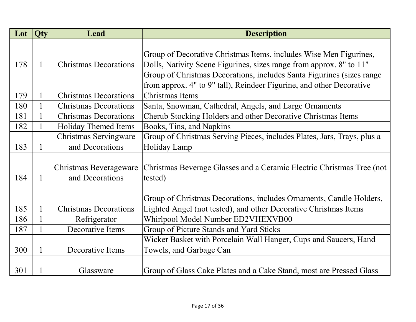| Lot | <b>Qty</b>   | Lead                         | <b>Description</b>                                                      |
|-----|--------------|------------------------------|-------------------------------------------------------------------------|
|     |              |                              |                                                                         |
|     |              |                              | Group of Decorative Christmas Items, includes Wise Men Figurines,       |
| 178 | $\mathbf{1}$ | <b>Christmas Decorations</b> | Dolls, Nativity Scene Figurines, sizes range from approx. 8" to 11"     |
|     |              |                              | Group of Christmas Decorations, includes Santa Figurines (sizes range   |
|     |              |                              | from approx. 4" to 9" tall), Reindeer Figurine, and other Decorative    |
| 179 | 1            | <b>Christmas Decorations</b> | Christmas Items                                                         |
| 180 |              | <b>Christmas Decorations</b> | Santa, Snowman, Cathedral, Angels, and Large Ornaments                  |
| 181 |              | <b>Christmas Decorations</b> | Cherub Stocking Holders and other Decorative Christmas Items            |
| 182 |              | Holiday Themed Items         | Books, Tins, and Napkins                                                |
|     |              | Christmas Servingware        | Group of Christmas Serving Pieces, includes Plates, Jars, Trays, plus a |
| 183 | $\mathbf{1}$ | and Decorations              | Holiday Lamp                                                            |
|     |              |                              |                                                                         |
|     |              | Christmas Beverageware       | Christmas Beverage Glasses and a Ceramic Electric Christmas Tree (not   |
| 184 | $\mathbf{1}$ | and Decorations              | tested)                                                                 |
|     |              |                              |                                                                         |
|     |              |                              | Group of Christmas Decorations, includes Ornaments, Candle Holders,     |
| 185 | $\mathbf{1}$ | <b>Christmas Decorations</b> | Lighted Angel (not tested), and other Decorative Christmas Items        |
| 186 |              | Refrigerator                 | Whirlpool Model Number ED2VHEXVB00                                      |
| 187 |              | Decorative Items             | Group of Picture Stands and Yard Sticks                                 |
|     |              |                              | Wicker Basket with Porcelain Wall Hanger, Cups and Saucers, Hand        |
| 300 | 1            | Decorative Items             | Towels, and Garbage Can                                                 |
|     |              |                              |                                                                         |
| 301 |              | Glassware                    | Group of Glass Cake Plates and a Cake Stand, most are Pressed Glass     |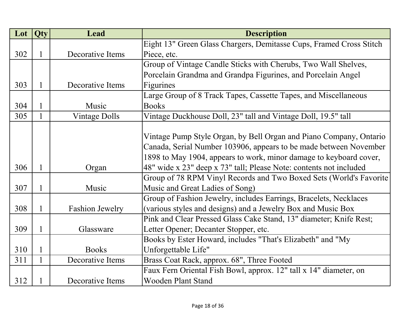| Lot | Qty          | <b>Lead</b>            | <b>Description</b>                                                  |
|-----|--------------|------------------------|---------------------------------------------------------------------|
|     |              |                        | Eight 13" Green Glass Chargers, Demitasse Cups, Framed Cross Stitch |
| 302 | 1            | Decorative Items       | Piece, etc.                                                         |
|     |              |                        | Group of Vintage Candle Sticks with Cherubs, Two Wall Shelves,      |
|     |              |                        | Porcelain Grandma and Grandpa Figurines, and Porcelain Angel        |
| 303 | $\mathbf{1}$ | Decorative Items       | Figurines                                                           |
|     |              |                        | Large Group of 8 Track Tapes, Cassette Tapes, and Miscellaneous     |
| 304 | $\mathbf{1}$ | Music                  | <b>Books</b>                                                        |
| 305 | 1            | <b>Vintage Dolls</b>   | Vintage Duckhouse Doll, 23" tall and Vintage Doll, 19.5" tall       |
|     |              |                        |                                                                     |
|     |              |                        | Vintage Pump Style Organ, by Bell Organ and Piano Company, Ontario  |
|     |              |                        | Canada, Serial Number 103906, appears to be made between November   |
|     |              |                        | 1898 to May 1904, appears to work, minor damage to keyboard cover,  |
| 306 | $\mathbf{1}$ | Organ                  | 48" wide x 23" deep x 73" tall; Please Note: contents not included  |
|     |              |                        | Group of 78 RPM Vinyl Records and Two Boxed Sets (World's Favorite  |
| 307 | $\mathbf{1}$ | Music                  | Music and Great Ladies of Song)                                     |
|     |              |                        | Group of Fashion Jewelry, includes Earrings, Bracelets, Necklaces   |
| 308 | $\mathbf{1}$ | <b>Fashion Jewelry</b> | (various styles and designs) and a Jewelry Box and Music Box        |
|     |              |                        | Pink and Clear Pressed Glass Cake Stand, 13" diameter; Knife Rest;  |
| 309 | $\mathbf{1}$ | Glassware              | Letter Opener; Decanter Stopper, etc.                               |
|     |              |                        | Books by Ester Howard, includes "That's Elizabeth" and "My          |
| 310 | $\mathbf{1}$ | <b>Books</b>           | Unforgettable Life"                                                 |
| 311 |              | Decorative Items       | Brass Coat Rack, approx. 68", Three Footed                          |
|     |              |                        | Faux Fern Oriental Fish Bowl, approx. 12" tall x 14" diameter, on   |
| 312 |              | Decorative Items       | <b>Wooden Plant Stand</b>                                           |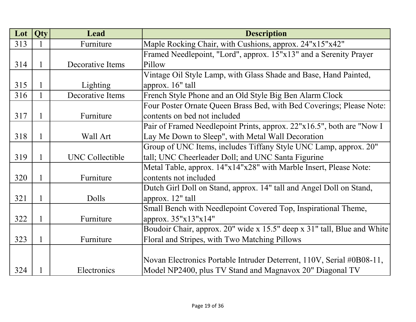| Lot | Qty          | <b>Lead</b>            | <b>Description</b>                                                      |
|-----|--------------|------------------------|-------------------------------------------------------------------------|
| 313 |              | Furniture              | Maple Rocking Chair, with Cushions, approx. 24"x15"x42"                 |
|     |              |                        | Framed Needlepoint, "Lord", approx. 15"x13" and a Serenity Prayer       |
| 314 | 1            | Decorative Items       | Pillow                                                                  |
|     |              |                        | Vintage Oil Style Lamp, with Glass Shade and Base, Hand Painted,        |
| 315 | 1            | Lighting               | approx. 16" tall                                                        |
| 316 | 1            | Decorative Items       | French Style Phone and an Old Style Big Ben Alarm Clock                 |
|     |              |                        | Four Poster Ornate Queen Brass Bed, with Bed Coverings; Please Note:    |
| 317 | 1            | Furniture              | contents on bed not included                                            |
|     |              |                        | Pair of Framed Needlepoint Prints, approx. 22"x16.5", both are "Now I   |
| 318 | 1            | Wall Art               | Lay Me Down to Sleep", with Metal Wall Decoration                       |
|     |              |                        | Group of UNC Items, includes Tiffany Style UNC Lamp, approx. 20"        |
| 319 | 1            | <b>UNC Collectible</b> | tall; UNC Cheerleader Doll; and UNC Santa Figurine                      |
|     |              |                        | Metal Table, approx. 14"x14"x28" with Marble Insert, Please Note:       |
| 320 | 1            | Furniture              | contents not included                                                   |
|     |              |                        | Dutch Girl Doll on Stand, approx. 14" tall and Angel Doll on Stand,     |
| 321 | 1            | Dolls                  | approx. 12" tall                                                        |
|     |              |                        | Small Bench with Needlepoint Covered Top, Inspirational Theme,          |
| 322 | 1            | Furniture              | approx. 35"x13"x14"                                                     |
|     |              |                        | Boudoir Chair, approx. 20" wide x 15.5" deep x 31" tall, Blue and White |
| 323 | $\mathbf{1}$ | Furniture              | Floral and Stripes, with Two Matching Pillows                           |
|     |              |                        |                                                                         |
|     |              |                        | Novan Electronics Portable Intruder Deterrent, 110V, Serial #0B08-11,   |
| 324 |              | Electronics            | Model NP2400, plus TV Stand and Magnavox 20" Diagonal TV                |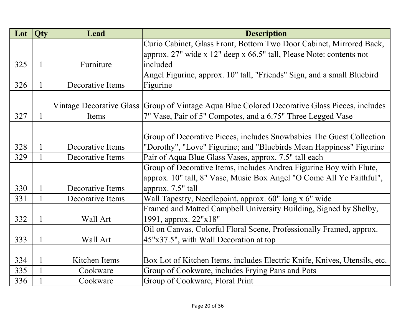| Lot | Qty | Lead             | <b>Description</b>                                                                            |
|-----|-----|------------------|-----------------------------------------------------------------------------------------------|
|     |     |                  | Curio Cabinet, Glass Front, Bottom Two Door Cabinet, Mirrored Back,                           |
|     |     |                  | approx. 27" wide x 12" deep x 66.5" tall, Please Note: contents not                           |
| 325 | 1   | Furniture        | included                                                                                      |
|     |     |                  | Angel Figurine, approx. 10" tall, "Friends" Sign, and a small Bluebird                        |
| 326 | 1   | Decorative Items | Figurine                                                                                      |
|     |     |                  |                                                                                               |
|     |     |                  | Vintage Decorative Glass Group of Vintage Aqua Blue Colored Decorative Glass Pieces, includes |
| 327 | 1   | Items            | 7" Vase, Pair of 5" Compotes, and a 6.75" Three Legged Vase                                   |
|     |     |                  |                                                                                               |
|     |     |                  | Group of Decorative Pieces, includes Snowbabies The Guest Collection                          |
| 328 | 1   | Decorative Items | "Dorothy", "Love" Figurine; and "Bluebirds Mean Happiness" Figurine                           |
| 329 | 1   | Decorative Items | Pair of Aqua Blue Glass Vases, approx. 7.5" tall each                                         |
|     |     |                  | Group of Decorative Items, includes Andrea Figurine Boy with Flute,                           |
|     |     |                  | approx. 10" tall, 8" Vase, Music Box Angel "O Come All Ye Faithful",                          |
| 330 | 1   | Decorative Items | approx. 7.5" tall                                                                             |
| 331 | 1   | Decorative Items | Wall Tapestry, Needlepoint, approx. 60" long x 6" wide                                        |
|     |     |                  | Framed and Matted Campbell University Building, Signed by Shelby,                             |
| 332 | 1   | Wall Art         | 1991, approx. 22"x18"                                                                         |
|     |     |                  | Oil on Canvas, Colorful Floral Scene, Professionally Framed, approx.                          |
| 333 | 1   | Wall Art         | 45"x37.5", with Wall Decoration at top                                                        |
|     |     |                  |                                                                                               |
| 334 | 1   | Kitchen Items    | Box Lot of Kitchen Items, includes Electric Knife, Knives, Utensils, etc.                     |
| 335 |     | Cookware         | Group of Cookware, includes Frying Pans and Pots                                              |
| 336 |     | Cookware         | Group of Cookware, Floral Print                                                               |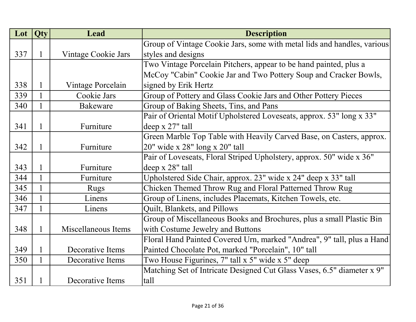| Lot | Qty | Lead                | <b>Description</b>                                                      |
|-----|-----|---------------------|-------------------------------------------------------------------------|
|     |     |                     | Group of Vintage Cookie Jars, some with metal lids and handles, various |
| 337 | 1   | Vintage Cookie Jars | styles and designs                                                      |
|     |     |                     | Two Vintage Porcelain Pitchers, appear to be hand painted, plus a       |
|     |     |                     | McCoy "Cabin" Cookie Jar and Two Pottery Soup and Cracker Bowls,        |
| 338 | 1   | Vintage Porcelain   | signed by Erik Hertz                                                    |
| 339 |     | Cookie Jars         | Group of Pottery and Glass Cookie Jars and Other Pottery Pieces         |
| 340 | 1   | <b>Bakeware</b>     | Group of Baking Sheets, Tins, and Pans                                  |
|     |     |                     | Pair of Oriental Motif Upholstered Loveseats, approx. 53" long x 33"    |
| 341 | 1   | Furniture           | deep x 27" tall                                                         |
|     |     |                     | Green Marble Top Table with Heavily Carved Base, on Casters, approx.    |
| 342 | 1   | Furniture           | 20" wide x 28" long x 20" tall                                          |
|     |     |                     | Pair of Loveseats, Floral Striped Upholstery, approx. 50" wide x 36"    |
| 343 |     | Furniture           | deep x 28" tall                                                         |
| 344 |     | Furniture           | Upholstered Side Chair, approx. 23" wide x 24" deep x 33" tall          |
| 345 |     | <b>Rugs</b>         | Chicken Themed Throw Rug and Floral Patterned Throw Rug                 |
| 346 |     | Linens              | Group of Linens, includes Placemats, Kitchen Towels, etc.               |
| 347 | 1   | Linens              | Quilt, Blankets, and Pillows                                            |
|     |     |                     | Group of Miscellaneous Books and Brochures, plus a small Plastic Bin    |
| 348 | 1   | Miscellaneous Items | with Costume Jewelry and Buttons                                        |
|     |     |                     | Floral Hand Painted Covered Urn, marked "Andrea", 9" tall, plus a Hand  |
| 349 | 1   | Decorative Items    | Painted Chocolate Pot, marked "Porcelain", 10" tall                     |
| 350 | 1   | Decorative Items    | Two House Figurines, 7" tall x 5" wide x 5" deep                        |
|     |     |                     | Matching Set of Intricate Designed Cut Glass Vases, 6.5" diameter x 9"  |
| 351 |     | Decorative Items    | tall                                                                    |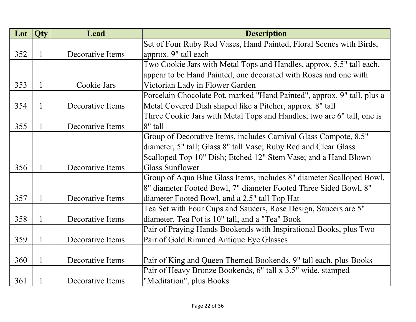| Lot | Qty          | Lead             | <b>Description</b>                                                      |
|-----|--------------|------------------|-------------------------------------------------------------------------|
|     |              |                  | Set of Four Ruby Red Vases, Hand Painted, Floral Scenes with Birds,     |
| 352 | 1            | Decorative Items | approx. 9" tall each                                                    |
|     |              |                  | Two Cookie Jars with Metal Tops and Handles, approx. 5.5" tall each,    |
|     |              |                  | appear to be Hand Painted, one decorated with Roses and one with        |
| 353 | $\mathbf{1}$ | Cookie Jars      | Victorian Lady in Flower Garden                                         |
|     |              |                  | Porcelain Chocolate Pot, marked "Hand Painted", approx. 9" tall, plus a |
| 354 | $\mathbf{1}$ | Decorative Items | Metal Covered Dish shaped like a Pitcher, approx. 8" tall               |
|     |              |                  | Three Cookie Jars with Metal Tops and Handles, two are 6" tall, one is  |
| 355 | $\mathbf{1}$ | Decorative Items | $8"$ tall                                                               |
|     |              |                  | Group of Decorative Items, includes Carnival Glass Compote, 8.5"        |
|     |              |                  | diameter, 5" tall; Glass 8" tall Vase; Ruby Red and Clear Glass         |
|     |              |                  | Scalloped Top 10" Dish; Etched 12" Stem Vase; and a Hand Blown          |
| 356 | $\mathbf{1}$ | Decorative Items | <b>Glass Sunflower</b>                                                  |
|     |              |                  | Group of Aqua Blue Glass Items, includes 8" diameter Scalloped Bowl,    |
|     |              |                  | 8" diameter Footed Bowl, 7" diameter Footed Three Sided Bowl, 8"        |
| 357 | $\mathbf{1}$ | Decorative Items | diameter Footed Bowl, and a 2.5" tall Top Hat                           |
|     |              |                  | Tea Set with Four Cups and Saucers, Rose Design, Saucers are 5"         |
| 358 | $\mathbf{1}$ | Decorative Items | diameter, Tea Pot is 10" tall, and a "Tea" Book                         |
|     |              |                  | Pair of Praying Hands Bookends with Inspirational Books, plus Two       |
| 359 | $\mathbf{1}$ | Decorative Items | Pair of Gold Rimmed Antique Eye Glasses                                 |
|     |              |                  |                                                                         |
| 360 | $\mathbf{1}$ | Decorative Items | Pair of King and Queen Themed Bookends, 9" tall each, plus Books        |
|     |              |                  | Pair of Heavy Bronze Bookends, 6" tall x 3.5" wide, stamped             |
| 361 |              | Decorative Items | "Meditation", plus Books                                                |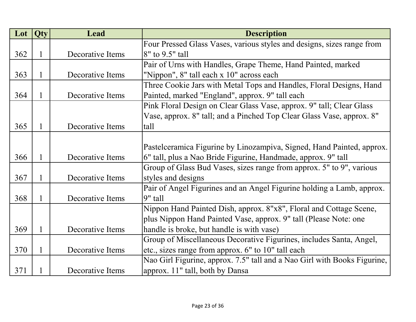| Lot | Qty      | Lead             | <b>Description</b>                                                       |
|-----|----------|------------------|--------------------------------------------------------------------------|
|     |          |                  | Four Pressed Glass Vases, various styles and designs, sizes range from   |
| 362 | $\bf{l}$ | Decorative Items | 8" to 9.5" tall                                                          |
|     |          |                  | Pair of Urns with Handles, Grape Theme, Hand Painted, marked             |
| 363 |          | Decorative Items | "Nippon", 8" tall each x 10" across each                                 |
|     |          |                  | Three Cookie Jars with Metal Tops and Handles, Floral Designs, Hand      |
| 364 | 1        | Decorative Items | Painted, marked "England", approx. 9" tall each                          |
|     |          |                  | Pink Floral Design on Clear Glass Vase, approx. 9" tall; Clear Glass     |
|     |          |                  | Vase, approx. 8" tall; and a Pinched Top Clear Glass Vase, approx. 8"    |
| 365 |          | Decorative Items | tall                                                                     |
|     |          |                  |                                                                          |
|     |          |                  | Pastelceramica Figurine by Linozampiva, Signed, Hand Painted, approx.    |
| 366 |          | Decorative Items | 6" tall, plus a Nao Bride Figurine, Handmade, approx. 9" tall            |
|     |          |                  | Group of Glass Bud Vases, sizes range from approx. 5" to 9", various     |
| 367 | 1        | Decorative Items | styles and designs                                                       |
|     |          |                  | Pair of Angel Figurines and an Angel Figurine holding a Lamb, approx.    |
| 368 | 1        | Decorative Items | $9"$ tall                                                                |
|     |          |                  | Nippon Hand Painted Dish, approx. 8"x8", Floral and Cottage Scene,       |
|     |          |                  | plus Nippon Hand Painted Vase, approx. 9" tall (Please Note: one         |
| 369 |          | Decorative Items | handle is broke, but handle is with vase)                                |
|     |          |                  | Group of Miscellaneous Decorative Figurines, includes Santa, Angel,      |
| 370 | 1        | Decorative Items | etc., sizes range from approx. 6" to 10" tall each                       |
|     |          |                  | Nao Girl Figurine, approx. 7.5" tall and a Nao Girl with Books Figurine, |
| 371 |          | Decorative Items | approx. 11" tall, both by Dansa                                          |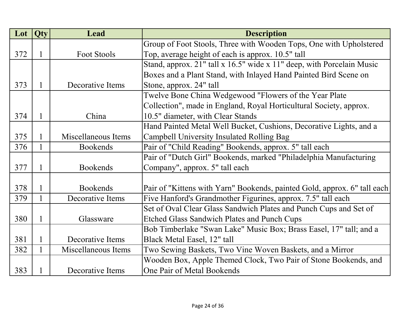| Lot | <b>Qty</b>   | Lead                | <b>Description</b>                                                       |
|-----|--------------|---------------------|--------------------------------------------------------------------------|
|     |              |                     | Group of Foot Stools, Three with Wooden Tops, One with Upholstered       |
| 372 | 1            | <b>Foot Stools</b>  | Top, average height of each is approx. 10.5" tall                        |
|     |              |                     | Stand, approx. 21" tall x 16.5" wide x 11" deep, with Porcelain Music    |
|     |              |                     | Boxes and a Plant Stand, with Inlayed Hand Painted Bird Scene on         |
| 373 | $\mathbf{1}$ | Decorative Items    | Stone, approx. 24" tall                                                  |
|     |              |                     | Twelve Bone China Wedgewood "Flowers of the Year Plate                   |
|     |              |                     | Collection", made in England, Royal Horticultural Society, approx.       |
| 374 | $\mathbf{1}$ | China               | 10.5" diameter, with Clear Stands                                        |
|     |              |                     | Hand Painted Metal Well Bucket, Cushions, Decorative Lights, and a       |
| 375 | $\mathbf{1}$ | Miscellaneous Items | Campbell University Insulated Rolling Bag                                |
| 376 | $\mathbf{1}$ | <b>Bookends</b>     | Pair of "Child Reading" Bookends, approx. 5" tall each                   |
|     |              |                     | Pair of "Dutch Girl" Bookends, marked "Philadelphia Manufacturing        |
| 377 | $\mathbf{1}$ | <b>Bookends</b>     | Company", approx. 5" tall each                                           |
|     |              |                     |                                                                          |
| 378 | $\mathbf{1}$ | <b>Bookends</b>     | Pair of "Kittens with Yarn" Bookends, painted Gold, approx. 6" tall each |
| 379 |              | Decorative Items    | Five Hanford's Grandmother Figurines, approx. 7.5" tall each             |
|     |              |                     | Set of Oval Clear Glass Sandwich Plates and Punch Cups and Set of        |
| 380 | 1            | Glassware           | <b>Etched Glass Sandwich Plates and Punch Cups</b>                       |
|     |              |                     | Bob Timberlake "Swan Lake" Music Box; Brass Easel, 17" tall; and a       |
| 381 |              | Decorative Items    | Black Metal Easel, 12" tall                                              |
| 382 | $\mathbf{1}$ | Miscellaneous Items | Two Sewing Baskets, Two Vine Woven Baskets, and a Mirror                 |
|     |              |                     | Wooden Box, Apple Themed Clock, Two Pair of Stone Bookends, and          |
| 383 | 1            | Decorative Items    | One Pair of Metal Bookends                                               |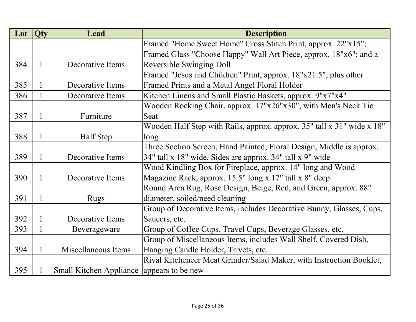| Lot | Qty          | Lead                                      | <b>Description</b>                                                     |
|-----|--------------|-------------------------------------------|------------------------------------------------------------------------|
|     |              |                                           | Framed "Home Sweet Home" Cross Stitch Print, approx. 22"x15";          |
|     |              |                                           | Framed Glass "Choose Happy" Wall Art Piece, approx. 18"x6"; and a      |
| 384 | 1            | Decorative Items                          | <b>Reversible Swinging Doll</b>                                        |
|     |              |                                           | Framed "Jesus and Children" Print, approx. 18"x21.5", plus other       |
| 385 | 1            | Decorative Items                          | Framed Prints and a Metal Angel Floral Holder                          |
| 386 |              | Decorative Items                          | Kitchen Linens and Small Plastic Baskets, approx. 9"x7"x4"             |
|     |              |                                           | Wooden Rocking Chair, approx. 17"x26"x30", with Men's Neck Tie         |
| 387 | 1            | Furniture                                 | Seat                                                                   |
|     |              |                                           | Wooden Half Step with Rails, approx. approx. 35" tall x 31" wide x 18" |
| 388 | 1            | Half Step                                 | long                                                                   |
|     |              |                                           | Three Section Screen, Hand Painted, Floral Design, Middle is approx.   |
| 389 | 1            | Decorative Items                          | 34" tall x 18" wide, Sides are approx. 34" tall x 9" wide              |
|     |              |                                           | Wood Kindling Box for Fireplace, approx. 14" long and Wood             |
| 390 | 1            | Decorative Items                          | Magazine Rack, approx. 15.5" long x 17" tall x 8" deep                 |
|     |              |                                           | Round Area Rug, Rose Design, Beige, Red, and Green, approx. 88"        |
| 391 | 1            | <b>Rugs</b>                               | diameter, soiled/need cleaning                                         |
|     |              |                                           | Group of Decorative Items, includes Decorative Bunny, Glasses, Cups,   |
| 392 | 1            | Decorative Items                          | Saucers, etc.                                                          |
| 393 | 1            | Beverageware                              | Group of Coffee Cups, Travel Cups, Beverage Glasses, etc.              |
|     |              |                                           | Group of Miscellaneous Items, includes Wall Shelf, Covered Dish,       |
| 394 | $\mathbf{1}$ | Miscellaneous Items                       | Hanging Candle Holder, Trivets, etc.                                   |
|     |              |                                           | Rival Kitcheneer Meat Grinder/Salad Maker, with Instruction Booklet,   |
| 395 |              | Small Kitchen Appliance appears to be new |                                                                        |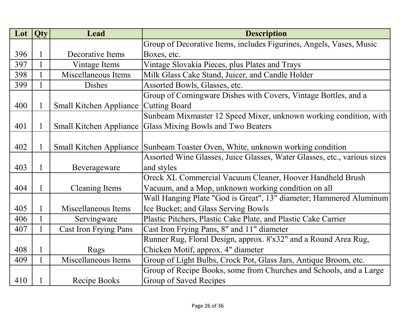| Lot | Qty          | <b>Lead</b>                    | <b>Description</b>                                                       |
|-----|--------------|--------------------------------|--------------------------------------------------------------------------|
|     |              |                                | Group of Decorative Items, includes Figurines, Angels, Vases, Music      |
| 396 | 1            | Decorative Items               | Boxes, etc.                                                              |
| 397 | $\mathbf{1}$ | Vintage Items                  | Vintage Slovakia Pieces, plus Plates and Trays                           |
| 398 | 1            | Miscellaneous Items            | Milk Glass Cake Stand, Juicer, and Candle Holder                         |
| 399 | 1            | <b>Dishes</b>                  | Assorted Bowls, Glasses, etc.                                            |
|     |              |                                | Group of Corningware Dishes with Covers, Vintage Bottles, and a          |
| 400 | $\mathbf{1}$ | <b>Small Kitchen Appliance</b> | <b>Cutting Board</b>                                                     |
|     |              |                                | Sunbeam Mixmaster 12 Speed Mixer, unknown working condition, with        |
| 401 | 1            | <b>Small Kitchen Appliance</b> | Glass Mixing Bowls and Two Beaters                                       |
|     |              |                                |                                                                          |
| 402 | $\mathbf{1}$ | <b>Small Kitchen Appliance</b> | Sunbeam Toaster Oven, White, unknown working condition                   |
|     |              |                                | Assorted Wine Glasses, Juice Glasses, Water Glasses, etc., various sizes |
| 403 | $\mathbf{1}$ | Beverageware                   | and styles                                                               |
|     |              |                                | Oreck XL Commercial Vacuum Cleaner, Hoover Handheld Brush                |
| 404 | $\mathbf{1}$ | <b>Cleaning Items</b>          | Vacuum, and a Mop, unknown working condition on all                      |
|     |              |                                | Wall Hanging Plate "God is Great", 13" diameter; Hammered Aluminum       |
| 405 | 1            | Miscellaneous Items            | Ice Bucket; and Glass Serving Bowls                                      |
| 406 |              | Servingware                    | Plastic Pitchers, Plastic Cake Plate, and Plastic Cake Carrier           |
| 407 |              | <b>Cast Iron Frying Pans</b>   | Cast Iron Frying Pans, 8" and 11" diameter                               |
|     |              |                                | Runner Rug, Floral Design, approx. 8'x32" and a Round Area Rug,          |
| 408 | $\mathbf{1}$ | <b>Rugs</b>                    | Chicken Motif, approx. 4" diameter                                       |
| 409 |              | Miscellaneous Items            | Group of Light Bulbs, Crock Pot, Glass Jars, Antique Broom, etc.         |
|     |              |                                | Group of Recipe Books, some from Churches and Schools, and a Large       |
| 410 |              | Recipe Books                   | Group of Saved Recipes                                                   |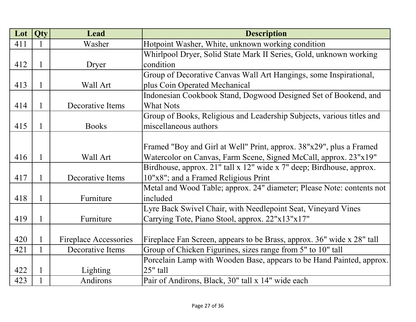| Lot | Qty          | <b>Lead</b>                  | <b>Description</b>                                                     |
|-----|--------------|------------------------------|------------------------------------------------------------------------|
| 411 |              | Washer                       | Hotpoint Washer, White, unknown working condition                      |
|     |              |                              | Whirlpool Dryer, Solid State Mark II Series, Gold, unknown working     |
| 412 | $\mathbf{1}$ | Dryer                        | condition                                                              |
|     |              |                              | Group of Decorative Canvas Wall Art Hangings, some Inspirational,      |
| 413 | $\mathbf{1}$ | Wall Art                     | plus Coin Operated Mechanical                                          |
|     |              |                              | Indonesian Cookbook Stand, Dogwood Designed Set of Bookend, and        |
| 414 | 1            | Decorative Items             | <b>What Nots</b>                                                       |
|     |              |                              | Group of Books, Religious and Leadership Subjects, various titles and  |
| 415 | 1            | <b>Books</b>                 | miscellaneous authors                                                  |
|     |              |                              |                                                                        |
|     |              |                              | Framed "Boy and Girl at Well" Print, approx. 38"x29", plus a Framed    |
| 416 | 1            | Wall Art                     | Watercolor on Canvas, Farm Scene, Signed McCall, approx. 23"x19"       |
|     |              |                              | Birdhouse, approx. 21" tall x 12" wide x 7" deep; Birdhouse, approx.   |
| 417 | 1            | Decorative Items             | 10"x8"; and a Framed Religious Print                                   |
|     |              |                              | Metal and Wood Table; approx. 24" diameter; Please Note: contents not  |
| 418 | 1            | Furniture                    | included                                                               |
|     |              |                              | Lyre Back Swivel Chair, with Needlepoint Seat, Vineyard Vines          |
| 419 | 1            | Furniture                    | Carrying Tote, Piano Stool, approx. 22"x13"x17"                        |
|     |              |                              |                                                                        |
| 420 |              | <b>Fireplace Accessories</b> | Fireplace Fan Screen, appears to be Brass, approx. 36" wide x 28" tall |
| 421 |              | Decorative Items             | Group of Chicken Figurines, sizes range from 5" to 10" tall            |
|     |              |                              | Porcelain Lamp with Wooden Base, appears to be Hand Painted, approx.   |
| 422 | 1            | Lighting                     | 25" tall                                                               |
| 423 |              | Andirons                     | Pair of Andirons, Black, 30" tall x 14" wide each                      |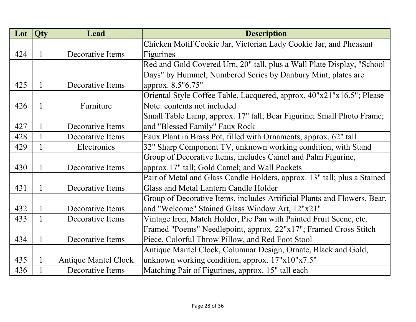| Lot | <b>Qty</b> | Lead                        | <b>Description</b>                                                       |
|-----|------------|-----------------------------|--------------------------------------------------------------------------|
|     |            |                             | Chicken Motif Cookie Jar, Victorian Lady Cookie Jar, and Pheasant        |
| 424 | 1          | Decorative Items            | Figurines                                                                |
|     |            |                             | Red and Gold Covered Urn, 20" tall, plus a Wall Plate Display, "School   |
|     |            |                             | Days" by Hummel, Numbered Series by Danbury Mint, plates are             |
| 425 | 1          | Decorative Items            | approx. 8.5"6.75"                                                        |
|     |            |                             | Oriental Style Coffee Table, Lacquered, approx. 40"x21"x16.5"; Please    |
| 426 | 1          | Furniture                   | Note: contents not included                                              |
|     |            |                             | Small Table Lamp, approx. 17" tall; Bear Figurine; Small Photo Frame;    |
| 427 | 1          | Decorative Items            | and "Blessed Family" Faux Rock                                           |
| 428 | 1          | Decorative Items            | Faux Plant in Brass Pot, filled with Ornaments, approx. 62" tall         |
| 429 | 1          | Electronics                 | 32" Sharp Component TV, unknown working condition, with Stand            |
|     |            |                             | Group of Decorative Items, includes Camel and Palm Figurine,             |
| 430 | 1          | Decorative Items            | approx.17" tall; Gold Camel; and Wall Pockets                            |
|     |            |                             | Pair of Metal and Glass Candle Holders, approx. 13" tall; plus a Stained |
| 431 | 1          | Decorative Items            | Glass and Metal Lantern Candle Holder                                    |
|     |            |                             | Group of Decorative Items, includes Artificial Plants and Flowers, Bear, |
| 432 | 1          | Decorative Items            | and "Welcome" Stained Glass Window Art, 12"x21"                          |
| 433 |            | Decorative Items            | Vintage Iron, Match Holder, Pie Pan with Painted Fruit Scene, etc.       |
|     |            |                             | Framed "Poems" Needlepoint, approx. 22"x17"; Framed Cross Stitch         |
| 434 | 1          | Decorative Items            | Piece, Colorful Throw Pillow, and Red Foot Stool                         |
|     |            |                             | Antique Mantel Clock, Columnar Design, Ornate, Black and Gold,           |
| 435 | 1          | <b>Antique Mantel Clock</b> | unknown working condition, approx. 17"x10"x7.5"                          |
| 436 |            | Decorative Items            | Matching Pair of Figurines, approx. 15" tall each                        |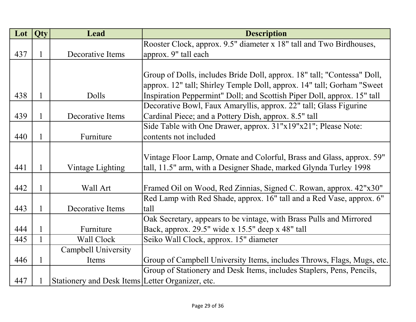| Lot | Qty | <b>Lead</b>                                      | <b>Description</b>                                                      |
|-----|-----|--------------------------------------------------|-------------------------------------------------------------------------|
|     |     |                                                  | Rooster Clock, approx. 9.5" diameter x 18" tall and Two Birdhouses,     |
| 437 | 1   | Decorative Items                                 | approx. 9" tall each                                                    |
|     |     |                                                  |                                                                         |
|     |     |                                                  | Group of Dolls, includes Bride Doll, approx. 18" tall; "Contessa" Doll, |
|     |     |                                                  | approx. 12" tall; Shirley Temple Doll, approx. 14" tall; Gorham "Sweet  |
| 438 | 1   | Dolls                                            | Inspiration Peppermint" Doll; and Scottish Piper Doll, approx. 15" tall |
|     |     |                                                  | Decorative Bowl, Faux Amaryllis, approx. 22" tall; Glass Figurine       |
| 439 | 1   | Decorative Items                                 | Cardinal Piece; and a Pottery Dish, approx. 8.5" tall                   |
|     |     |                                                  | Side Table with One Drawer, approx. 31"x19"x21"; Please Note:           |
| 440 | 1   | Furniture                                        | contents not included                                                   |
|     |     |                                                  |                                                                         |
|     |     |                                                  | Vintage Floor Lamp, Ornate and Colorful, Brass and Glass, approx. 59"   |
| 441 | 1   | Vintage Lighting                                 | tall, 11.5" arm, with a Designer Shade, marked Glynda Turley 1998       |
|     |     |                                                  |                                                                         |
| 442 | 1   | Wall Art                                         | Framed Oil on Wood, Red Zinnias, Signed C. Rowan, approx. 42"x30"       |
|     |     |                                                  | Red Lamp with Red Shade, approx. 16" tall and a Red Vase, approx. 6"    |
| 443 | 1   | Decorative Items                                 | tall                                                                    |
|     |     |                                                  | Oak Secretary, appears to be vintage, with Brass Pulls and Mirrored     |
| 444 | 1   | Furniture                                        | Back, approx. 29.5" wide x 15.5" deep x 48" tall                        |
| 445 |     | Wall Clock                                       | Seiko Wall Clock, approx. 15" diameter                                  |
|     |     | <b>Campbell University</b>                       |                                                                         |
| 446 |     | Items                                            | Group of Campbell University Items, includes Throws, Flags, Mugs, etc.  |
|     |     |                                                  | Group of Stationery and Desk Items, includes Staplers, Pens, Pencils,   |
| 447 |     | Stationery and Desk Items Letter Organizer, etc. |                                                                         |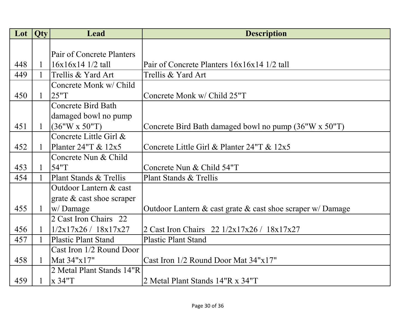| Lot | Qty          | Lead                        | <b>Description</b>                                         |
|-----|--------------|-----------------------------|------------------------------------------------------------|
|     |              |                             |                                                            |
|     |              | Pair of Concrete Planters   |                                                            |
| 448 | $\mathbf{1}$ | $16x16x141/2$ tall          | Pair of Concrete Planters 16x16x14 1/2 tall                |
| 449 | 1            | Trellis & Yard Art          | Trellis & Yard Art                                         |
|     |              | Concrete Monk w/ Child      |                                                            |
| 450 | $\mathbf{1}$ | 25"T                        | Concrete Monk w/ Child 25"T                                |
|     |              | <b>Concrete Bird Bath</b>   |                                                            |
|     |              | damaged bowl no pump        |                                                            |
| 451 | $\mathbf{1}$ | (36"W x 50"T)               | Concrete Bird Bath damaged bowl no pump (36"W x 50"T)      |
|     |              | Concrete Little Girl &      |                                                            |
| 452 | $\mathbf{1}$ | Planter $24$ "T & $12x5$    | Concrete Little Girl & Planter 24"T & 12x5                 |
|     |              | Concrete Nun & Child        |                                                            |
| 453 | $\mathbf{1}$ | 54"T                        | Concrete Nun & Child 54"T                                  |
| 454 | 1            | Plant Stands & Trellis      | Plant Stands & Trellis                                     |
|     |              | Outdoor Lantern & cast      |                                                            |
|     |              | grate $&$ cast shoe scraper |                                                            |
| 455 | $\mathbf{1}$ | w/Damage                    | Outdoor Lantern & cast grate & cast shoe scraper w/ Damage |
|     |              | 2 Cast Iron Chairs 22       |                                                            |
| 456 | 1            | 1/2x17x26 / 18x17x27        | 2 Cast Iron Chairs 22 1/2x17x26 / 18x17x27                 |
| 457 |              | <b>Plastic Plant Stand</b>  | <b>Plastic Plant Stand</b>                                 |
|     |              | Cast Iron 1/2 Round Door    |                                                            |
| 458 | 1            | Mat 34"x17"                 | Cast Iron 1/2 Round Door Mat 34"x17"                       |
|     |              | 2 Metal Plant Stands 14"R   |                                                            |
| 459 |              | x 34"T                      | 2 Metal Plant Stands 14"R x 34"T                           |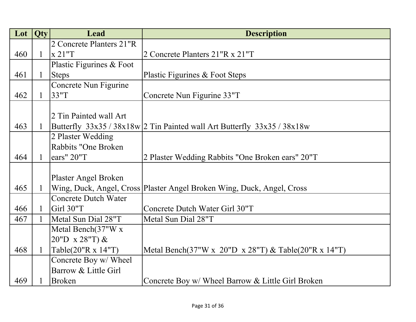| Lot | <b>Qty</b>   | Lead                        | <b>Description</b>                                                       |
|-----|--------------|-----------------------------|--------------------------------------------------------------------------|
|     |              | 2 Concrete Planters 21"R    |                                                                          |
| 460 | $\mathbf{1}$ | x 21"T                      | 2 Concrete Planters 21"R x 21"T                                          |
|     |              | Plastic Figurines & Foot    |                                                                          |
| 461 | $\mathbf{1}$ | <b>Steps</b>                | Plastic Figurines & Foot Steps                                           |
|     |              | Concrete Nun Figurine       |                                                                          |
| 462 | $\mathbf{1}$ | 33"T                        | Concrete Nun Figurine 33"T                                               |
|     |              |                             |                                                                          |
|     |              | 2 Tin Painted wall Art      |                                                                          |
| 463 | $\mathbf{1}$ |                             | Butterfly $33x35/38x18w/2$ Tin Painted wall Art Butterfly $33x35/38x18w$ |
|     |              | 2 Plaster Wedding           |                                                                          |
|     |              | Rabbits "One Broken         |                                                                          |
| 464 | 1            | ears" 20"T                  | 2 Plaster Wedding Rabbits "One Broken ears" 20"T                         |
|     |              |                             |                                                                          |
|     |              | Plaster Angel Broken        |                                                                          |
| 465 | 1            |                             | Wing, Duck, Angel, Cross   Plaster Angel Broken Wing, Duck, Angel, Cross |
|     |              | <b>Concrete Dutch Water</b> |                                                                          |
| 466 | $\mathbf{1}$ | Girl 30"T                   | Concrete Dutch Water Girl 30"T                                           |
| 467 | 1            | Metal Sun Dial 28"T         | Metal Sun Dial 28"T                                                      |
|     |              | Metal Bench(37"W x          |                                                                          |
|     |              | 20"D $x 28$ "T) &           |                                                                          |
| 468 | $\mathbf{1}$ | Table(20"R x 14"T)          | Metal Bench(37"W x 20"D x 28"T) & Table(20"R x 14"T)                     |
|     |              | Concrete Boy w/ Wheel       |                                                                          |
|     |              | Barrow & Little Girl        |                                                                          |
| 469 |              | <b>Broken</b>               | Concrete Boy w/ Wheel Barrow & Little Girl Broken                        |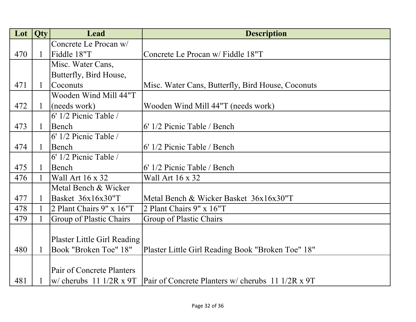| Lot | <b>Qty</b>   | Lead                               | <b>Description</b>                                |
|-----|--------------|------------------------------------|---------------------------------------------------|
|     |              | Concrete Le Procan w/              |                                                   |
| 470 | $\mathbf{1}$ | Fiddle 18"T                        | Concrete Le Procan w/ Fiddle 18"T                 |
|     |              | Misc. Water Cans,                  |                                                   |
|     |              | Butterfly, Bird House,             |                                                   |
| 471 | $\mathbf{1}$ | Coconuts                           | Misc. Water Cans, Butterfly, Bird House, Coconuts |
|     |              | Wooden Wind Mill 44"T              |                                                   |
| 472 | $\mathbf{1}$ | (needs work)                       | Wooden Wind Mill 44"T (needs work)                |
|     |              | $6'$ 1/2 Picnic Table /            |                                                   |
| 473 | $\mathbf{1}$ | Bench                              | 6' 1/2 Picnic Table / Bench                       |
|     |              | 6' 1/2 Picnic Table /              |                                                   |
| 474 | $\mathbf{1}$ | Bench                              | 6' 1/2 Picnic Table / Bench                       |
|     |              | 6' 1/2 Picnic Table /              |                                                   |
| 475 | $\mathbf{1}$ | Bench                              | 6' 1/2 Picnic Table / Bench                       |
| 476 | $\mathbf{1}$ | Wall Art 16 x 32                   | Wall Art 16 x 32                                  |
|     |              | Metal Bench & Wicker               |                                                   |
| 477 | 1            | Basket 36x16x30"T                  | Metal Bench & Wicker Basket 36x16x30"T            |
| 478 | 1            | 2 Plant Chairs 9" x 16"T           | 2 Plant Chairs 9" x 16"T                          |
| 479 |              | Group of Plastic Chairs            | Group of Plastic Chairs                           |
|     |              |                                    |                                                   |
|     |              | <b>Plaster Little Girl Reading</b> |                                                   |
| 480 | $\mathbf{1}$ | Book "Broken Toe" 18"              | Plaster Little Girl Reading Book "Broken Toe" 18" |
|     |              |                                    |                                                   |
|     |              | Pair of Concrete Planters          |                                                   |
| 481 |              | $\vert$ w/ cherubs 11 1/2R x 9T    | Pair of Concrete Planters w/ cherubs 11 1/2R x 9T |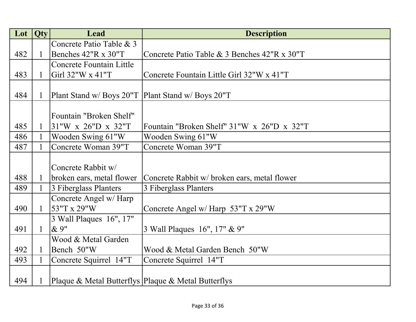| Lot | <b>Qty</b>   | Lead                                                | <b>Description</b>                                  |
|-----|--------------|-----------------------------------------------------|-----------------------------------------------------|
|     |              | Concrete Patio Table & 3                            |                                                     |
| 482 | $\mathbf{1}$ | Benches 42"R x 30"T                                 | Concrete Patio Table & 3 Benches 42"R x 30"T        |
|     |              | <b>Concrete Fountain Little</b>                     |                                                     |
| 483 | $\mathbf{1}$ | Girl 32"W x 41"T                                    | Concrete Fountain Little Girl 32"W x 41"T           |
|     |              |                                                     |                                                     |
| 484 | $\mathbf{1}$ | Plant Stand w/ Boys 20"T   Plant Stand w/ Boys 20"T |                                                     |
|     |              |                                                     |                                                     |
|     |              | Fountain "Broken Shelf"                             |                                                     |
| 485 | $\mathbf{1}$ | 31"W x 26"D x 32"T                                  | Fountain "Broken Shelf" 31"W x 26"D x 32"T          |
| 486 | $\mathbf{1}$ | Wooden Swing 61"W                                   | Wooden Swing 61"W                                   |
| 487 | $\mathbf{1}$ | Concrete Woman 39"T                                 | Concrete Woman 39"T                                 |
|     |              |                                                     |                                                     |
|     |              | Concrete Rabbit w/                                  |                                                     |
| 488 | $\mathbf{1}$ | broken ears, metal flower                           | Concrete Rabbit w/ broken ears, metal flower        |
| 489 | $\mathbf{1}$ | 3 Fiberglass Planters                               | 3 Fiberglass Planters                               |
|     |              | Concrete Angel w/ Harp                              |                                                     |
| 490 | $\mathbf{1}$ | 53"T x 29"W                                         | Concrete Angel w/ Harp 53"T x 29"W                  |
|     |              | 3 Wall Plaques 16", 17"                             |                                                     |
| 491 | $\mathbf{1}$ | & 9"                                                | 3 Wall Plaques 16", 17" & 9"                        |
|     |              | Wood & Metal Garden                                 |                                                     |
| 492 | $\mathbf{1}$ | Bench 50"W                                          | Wood & Metal Garden Bench 50"W                      |
| 493 | $\mathbf{1}$ | Concrete Squirrel 14"T                              | Concrete Squirrel 14"T                              |
|     |              |                                                     |                                                     |
| 494 | 1            |                                                     | Plaque & Metal Butterflys Plaque & Metal Butterflys |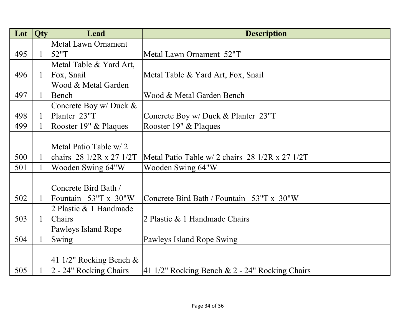| Lot | Qty          | <b>Lead</b>                                | <b>Description</b>                                                       |
|-----|--------------|--------------------------------------------|--------------------------------------------------------------------------|
|     |              | <b>Metal Lawn Ornament</b>                 |                                                                          |
| 495 | $\mathbf{1}$ | 52"T                                       | Metal Lawn Ornament 52"T                                                 |
|     |              | Metal Table & Yard Art,                    |                                                                          |
| 496 | $\mathbf{1}$ | Fox, Snail                                 | Metal Table & Yard Art, Fox, Snail                                       |
|     |              | Wood & Metal Garden                        |                                                                          |
| 497 | $\mathbf{1}$ | Bench                                      | Wood & Metal Garden Bench                                                |
|     |              | Concrete Boy w/ Duck &                     |                                                                          |
| 498 | $\mathbf{1}$ | Planter 23"T                               | Concrete Boy w/ Duck & Planter 23"T                                      |
| 499 | $\mathbf{1}$ | Rooster 19" & Plaques                      | Rooster 19" & Plaques                                                    |
|     |              |                                            |                                                                          |
|     |              | Metal Patio Table w/2                      |                                                                          |
| 500 | $\mathbf{1}$ | chairs $28 \frac{1}{2}$ x $27 \frac{1}{2}$ | Metal Patio Table w/ 2 chairs $28 \frac{1}{2}$ $R \times 27 \frac{1}{2}$ |
| 501 | 1            | Wooden Swing 64"W                          | Wooden Swing 64"W                                                        |
|     |              |                                            |                                                                          |
|     |              | Concrete Bird Bath /                       |                                                                          |
| 502 | 1            | Fountain 53"T x 30"W                       | Concrete Bird Bath / Fountain 53"T x 30"W                                |
|     |              | 2 Plastic & 1 Handmade                     |                                                                          |
| 503 | 1            | <b>Chairs</b>                              | 2 Plastic & 1 Handmade Chairs                                            |
|     |              | Pawleys Island Rope                        |                                                                          |
| 504 | $\mathbf{1}$ | Swing                                      | Pawleys Island Rope Swing                                                |
|     |              |                                            |                                                                          |
|     |              | 41 1/2" Rocking Bench $\&$                 |                                                                          |
| 505 |              | 2 - 24" Rocking Chairs                     | $ 41 \frac{1}{2}$ " Rocking Bench & 2 - 24" Rocking Chairs               |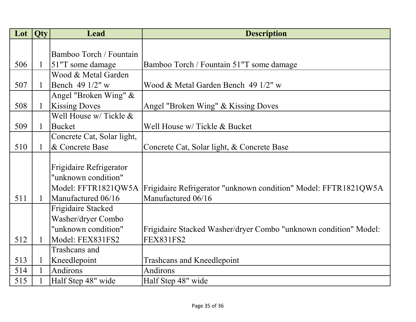| Lot | Qty          | Lead                       | <b>Description</b>                                                                    |
|-----|--------------|----------------------------|---------------------------------------------------------------------------------------|
|     |              |                            |                                                                                       |
|     |              | Bamboo Torch / Fountain    |                                                                                       |
| 506 | $\mathbf{1}$ | $ 51"$ T some damage       | Bamboo Torch / Fountain 51"T some damage                                              |
|     |              | Wood & Metal Garden        |                                                                                       |
| 507 | $\mathbf{1}$ | Bench 49 1/2" w            | Wood & Metal Garden Bench 49 1/2" w                                                   |
|     |              | Angel "Broken Wing" $&$    |                                                                                       |
| 508 | $\mathbf{1}$ | <b>Kissing Doves</b>       | Angel "Broken Wing" & Kissing Doves                                                   |
|     |              | Well House w/ Tickle &     |                                                                                       |
| 509 | 1            | <b>Bucket</b>              | Well House w/ Tickle & Bucket                                                         |
|     |              | Concrete Cat, Solar light, |                                                                                       |
| 510 | $\mathbf{1}$ | & Concrete Base            | Concrete Cat, Solar light, & Concrete Base                                            |
|     |              |                            |                                                                                       |
|     |              | Frigidaire Refrigerator    |                                                                                       |
|     |              | "unknown condition"        |                                                                                       |
|     |              |                            | Model: FFTR1821QW5A   Frigidaire Refrigerator "unknown condition" Model: FFTR1821QW5A |
| 511 | 1            | Manufactured 06/16         | Manufactured 06/16                                                                    |
|     |              | Frigidaire Stacked         |                                                                                       |
|     |              | Washer/dryer Combo         |                                                                                       |
|     |              | "unknown condition"        | Frigidaire Stacked Washer/dryer Combo "unknown condition" Model:                      |
| 512 |              | Model: FEX831FS2           | <b>FEX831FS2</b>                                                                      |
|     |              | Trashcans and              |                                                                                       |
| 513 |              | Kneedlepoint               | <b>Trashcans and Kneedlepoint</b>                                                     |
| 514 |              | Andirons                   | Andirons                                                                              |
| 515 |              | Half Step 48" wide         | Half Step 48" wide                                                                    |